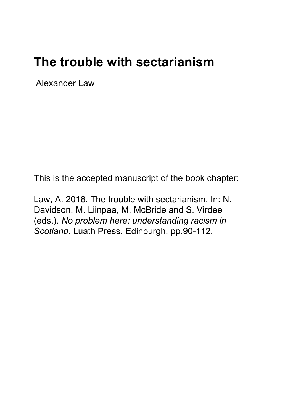# **The trouble with sectarianism**

Alexander Law

This is the accepted manuscript of the book chapter:

Law, A. 2018. The trouble with sectarianism. In: N. Davidson, M. Liinpaa, M. McBride and S. Virdee (eds.). *No problem here: understanding racism in Scotland*. Luath Press, Edinburgh, pp.90-112.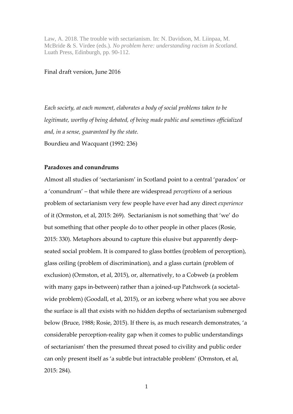Law, A. 2018. The trouble with sectarianism. In: N. Davidson, M. Liinpaa, M. McBride & S. Virdee (eds.). *No problem here: understanding racism in Scotland.* Luath Press, Edinburgh, pp. 90-112.

#### Final draft version, June 2016

*Each society, at each moment, elaborates a body of social problems taken to be legitimate, worthy of being debated, of being made public and sometimes officialized and, in a sense, guaranteed by the state.* Bourdieu and Wacquant (1992: 236)

## **Paradoxes and conundrums**

Almost all studies of 'sectarianism' in Scotland point to a central 'paradox' or a 'conundrum' – that while there are widespread *perceptions* of a serious problem of sectarianism very few people have ever had any direct *experience* of it (Ormston, et al, 2015: 269). Sectarianism is not something that 'we' do but something that other people do to other people in other places (Rosie, 2015: 330). Metaphors abound to capture this elusive but apparently deepseated social problem. It is compared to glass bottles (problem of perception), glass ceiling (problem of discrimination), and a glass curtain (problem of exclusion) (Ormston, et al, 2015), or, alternatively, to a Cobweb (a problem with many gaps in-between) rather than a joined-up Patchwork (a societalwide problem) (Goodall, et al, 2015), or an iceberg where what you see above the surface is all that exists with no hidden depths of sectarianism submerged below (Bruce, 1988; Rosie, 2015). If there is, as much research demonstrates, 'a considerable perception-reality gap when it comes to public understandings of sectarianism' then the presumed threat posed to civility and public order can only present itself as 'a subtle but intractable problem' (Ormston, et al, 2015: 284).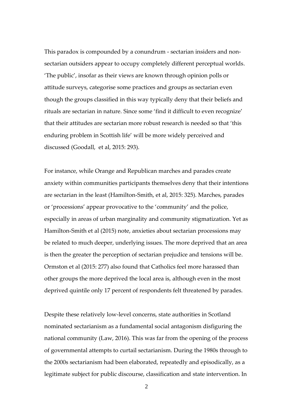This paradox is compounded by a conundrum - sectarian insiders and nonsectarian outsiders appear to occupy completely different perceptual worlds. 'The public', insofar as their views are known through opinion polls or attitude surveys, categorise some practices and groups as sectarian even though the groups classified in this way typically deny that their beliefs and rituals are sectarian in nature. Since some 'find it difficult to even recognize' that their attitudes are sectarian more robust research is needed so that 'this enduring problem in Scottish life' will be more widely perceived and discussed (Goodall, et al, 2015: 293).

For instance, while Orange and Republican marches and parades create anxiety within communities participants themselves deny that their intentions are sectarian in the least (Hamilton-Smith, et al, 2015: 325). Marches, parades or 'processions' appear provocative to the 'community' and the police, especially in areas of urban marginality and community stigmatization. Yet as Hamilton-Smith et al (2015) note, anxieties about sectarian processions may be related to much deeper, underlying issues. The more deprived that an area is then the greater the perception of sectarian prejudice and tensions will be. Ormston et al (2015: 277) also found that Catholics feel more harassed than other groups the more deprived the local area is, although even in the most deprived quintile only 17 percent of respondents felt threatened by parades.

Despite these relatively low-level concerns, state authorities in Scotland nominated sectarianism as a fundamental social antagonism disfiguring the national community (Law, 2016). This was far from the opening of the process of governmental attempts to curtail sectarianism. During the 1980s through to the 2000s sectarianism had been elaborated, repeatedly and episodically, as a legitimate subject for public discourse, classification and state intervention. In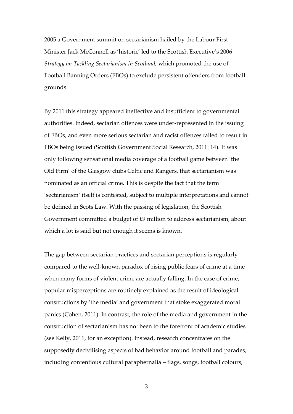2005 a Government summit on sectarianism hailed by the Labour First Minister Jack McConnell as 'historic' led to the Scottish Executive's 2006 *Strategy on Tackling Sectarianism in Scotland,* which promoted the use of Football Banning Orders (FBOs) to exclude persistent offenders from football grounds.

By 2011 this strategy appeared ineffective and insufficient to governmental authorities. Indeed, sectarian offences were under-represented in the issuing of FBOs, and even more serious sectarian and racist offences failed to result in FBOs being issued (Scottish Government Social Research, 2011: 14). It was only following sensational media coverage of a football game between 'the Old Firm' of the Glasgow clubs Celtic and Rangers, that sectarianism was nominated as an official crime. This is despite the fact that the term 'sectarianism' itself is contested, subject to multiple interpretations and cannot be defined in Scots Law. With the passing of legislation, the Scottish Government committed a budget of £9 million to address sectarianism, about which a lot is said but not enough it seems is known.

The gap between sectarian practices and sectarian perceptions is regularly compared to the well-known paradox of rising public fears of crime at a time when many forms of violent crime are actually falling. In the case of crime, popular misperceptions are routinely explained as the result of ideological constructions by 'the media' and government that stoke exaggerated moral panics (Cohen, 2011). In contrast, the role of the media and government in the construction of sectarianism has not been to the forefront of academic studies (see Kelly, 2011, for an exception). Instead, research concentrates on the supposedly decivilising aspects of bad behavior around football and parades, including contentious cultural paraphernalia – flags, songs, football colours,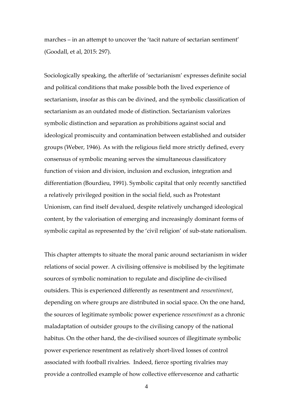marches – in an attempt to uncover the 'tacit nature of sectarian sentiment' (Goodall, et al, 2015: 297).

Sociologically speaking, the afterlife of 'sectarianism' expresses definite social and political conditions that make possible both the lived experience of sectarianism, insofar as this can be divined, and the symbolic classification of sectarianism as an outdated mode of distinction. Sectarianism valorizes symbolic distinction and separation as prohibitions against social and ideological promiscuity and contamination between established and outsider groups (Weber, 1946). As with the religious field more strictly defined, every consensus of symbolic meaning serves the simultaneous classificatory function of vision and division, inclusion and exclusion, integration and differentiation (Bourdieu, 1991). Symbolic capital that only recently sanctified a relatively privileged position in the social field, such as Protestant Unionism, can find itself devalued, despite relatively unchanged ideological content, by the valorisation of emerging and increasingly dominant forms of symbolic capital as represented by the 'civil religion' of sub-state nationalism.

This chapter attempts to situate the moral panic around sectarianism in wider relations of social power. A civilising offensive is mobilised by the legitimate sources of symbolic nomination to regulate and discipline de-civilised outsiders. This is experienced differently as resentment and *ressentiment*, depending on where groups are distributed in social space. On the one hand, the sources of legitimate symbolic power experience *ressentiment* as a chronic maladaptation of outsider groups to the civilising canopy of the national habitus. On the other hand, the de-civilised sources of illegitimate symbolic power experience resentment as relatively short-lived losses of control associated with football rivalries. Indeed, fierce sporting rivalries may provide a controlled example of how collective effervescence and cathartic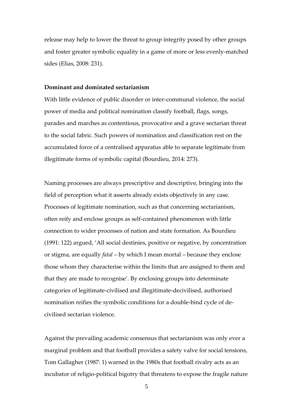release may help to lower the threat to group integrity posed by other groups and foster greater symbolic equality in a game of more or less evenly-matched sides (Elias, 2008: 231).

### **Dominant and dominated sectarianism**

With little evidence of public disorder or inter-communal violence, the social power of media and political nomination classify football, flags, songs, parades and marches as contentious, provocative and a grave sectarian threat to the social fabric. Such powers of nomination and classification rest on the accumulated force of a centralised apparatus able to separate legitimate from illegitimate forms of symbolic capital (Bourdieu, 2014: 273).

Naming processes are always prescriptive and descriptive, bringing into the field of perception what it asserts already exists objectively in any case. Processes of legitimate nomination, such as that concerning sectarianism, often reify and enclose groups as self-contained phenomenon with little connection to wider processes of nation and state formation. As Bourdieu (1991: 122) argued, 'All social destinies, positive or negative, by concentration or stigma, are equally *fatal* – by which I mean mortal – because they enclose those whom they characterise within the limits that are assigned to them and that they are made to recognise'. By enclosing groups into determinate categories of legitimate-civilised and illegitimate-decivilised, authorised nomination reifies the symbolic conditions for a double-bind cycle of decivilised sectarian violence.

Against the prevailing academic consensus that sectarianism was only ever a marginal problem and that football provides a safety valve for social tensions, Tom Gallagher (1987: 1) warned in the 1980s that football rivalry acts as an incubator of religio-political bigotry that threatens to expose the fragile nature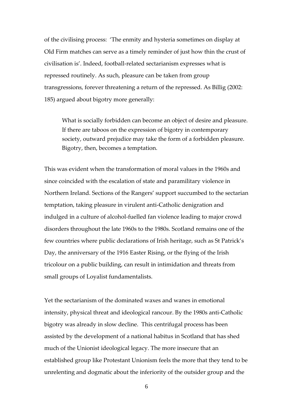of the civilising process: 'The enmity and hysteria sometimes on display at Old Firm matches can serve as a timely reminder of just how thin the crust of civilisation is'. Indeed, football-related sectarianism expresses what is repressed routinely. As such, pleasure can be taken from group transgressions, forever threatening a return of the repressed. As Billig (2002: 185) argued about bigotry more generally:

What is socially forbidden can become an object of desire and pleasure. If there are taboos on the expression of bigotry in contemporary society, outward prejudice may take the form of a forbidden pleasure. Bigotry, then, becomes a temptation.

This was evident when the transformation of moral values in the 1960s and since coincided with the escalation of state and paramilitary violence in Northern Ireland. Sections of the Rangers' support succumbed to the sectarian temptation, taking pleasure in virulent anti-Catholic denigration and indulged in a culture of alcohol-fuelled fan violence leading to major crowd disorders throughout the late 1960s to the 1980s. Scotland remains one of the few countries where public declarations of Irish heritage, such as St Patrick's Day, the anniversary of the 1916 Easter Rising, or the flying of the Irish tricolour on a public building, can result in intimidation and threats from small groups of Loyalist fundamentalists.

Yet the sectarianism of the dominated waxes and wanes in emotional intensity, physical threat and ideological rancour. By the 1980s anti-Catholic bigotry was already in slow decline. This centrifugal process has been assisted by the development of a national habitus in Scotland that has shed much of the Unionist ideological legacy. The more insecure that an established group like Protestant Unionism feels the more that they tend to be unrelenting and dogmatic about the inferiority of the outsider group and the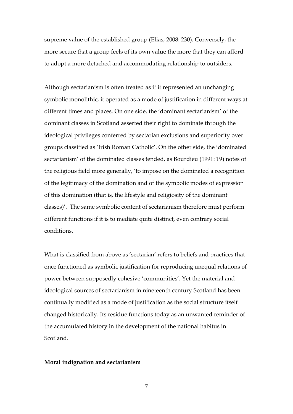supreme value of the established group (Elias, 2008: 230). Conversely, the more secure that a group feels of its own value the more that they can afford to adopt a more detached and accommodating relationship to outsiders.

Although sectarianism is often treated as if it represented an unchanging symbolic monolithic, it operated as a mode of justification in different ways at different times and places. On one side, the 'dominant sectarianism' of the dominant classes in Scotland asserted their right to dominate through the ideological privileges conferred by sectarian exclusions and superiority over groups classified as 'Irish Roman Catholic'. On the other side, the 'dominated sectarianism' of the dominated classes tended, as Bourdieu (1991: 19) notes of the religious field more generally, 'to impose on the dominated a recognition of the legitimacy of the domination and of the symbolic modes of expression of this domination (that is, the lifestyle and religiosity of the dominant classes)'. The same symbolic content of sectarianism therefore must perform different functions if it is to mediate quite distinct, even contrary social conditions.

What is classified from above as 'sectarian' refers to beliefs and practices that once functioned as symbolic justification for reproducing unequal relations of power between supposedly cohesive 'communities'. Yet the material and ideological sources of sectarianism in nineteenth century Scotland has been continually modified as a mode of justification as the social structure itself changed historically. Its residue functions today as an unwanted reminder of the accumulated history in the development of the national habitus in Scotland.

### **Moral indignation and sectarianism**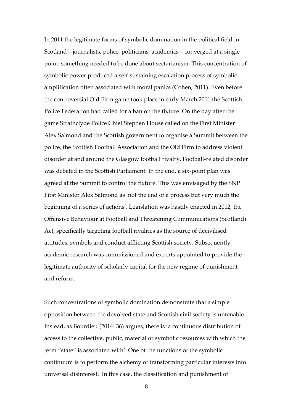In 2011 the legitimate forms of symbolic domination in the political field in Scotland – journalists, police, politicians, academics – converged at a single point: something needed to be done about sectarianism. This concentration of symbolic power produced a self-sustaining escalation process of symbolic amplification often associated with moral panics (Cohen, 2011). Even before the controversial Old Firm game took place in early March 2011 the Scottish Police Federation had called for a ban on the fixture. On the day after the game Strathclyde Police Chief Stephen House called on the First Minister Alex Salmond and the Scottish government to organise a Summit between the police, the Scottish Football Association and the Old Firm to address violent disorder at and around the Glasgow football rivalry. Football-related disorder was debated in the Scottish Parliament. In the end, a six-point plan was agreed at the Summit to control the fixture. This was envisaged by the SNP First Minister Alex Salmond as 'not the end of a process but very much the beginning of a series of actions'. Legislation was hastily enacted in 2012, the Offensive Behaviour at Football and Threatening Communications (Scotland) Act, specifically targeting football rivalries as the source of decivilised attitudes, symbols and conduct afflicting Scottish society. Subsequently, academic research was commissioned and experts appointed to provide the legitimate authority of scholarly capital for the new regime of punishment and reform.

Such concentrations of symbolic domination demonstrate that a simple opposition between the devolved state and Scottish civil society is untenable. Instead, as Bourdieu (2014: 36) argues, there is 'a continuous distribution of access to the collective, public, material or symbolic resources with which the term "state" is associated with'. One of the functions of the symbolic continuum is to perform the alchemy of transforming particular interests into universal disinterest. In this case, the classification and punishment of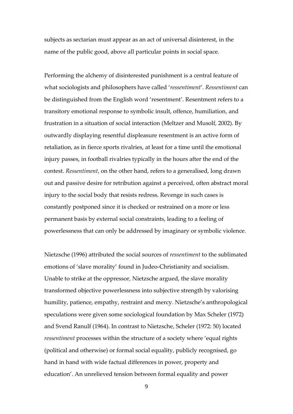subjects as sectarian must appear as an act of universal disinterest, in the name of the public good, above all particular points in social space.

Performing the alchemy of disinterested punishment is a central feature of what sociologists and philosophers have called '*ressentiment*'. *Ressentiment* can be distinguished from the English word 'resentment'. Resentment refers to a transitory emotional response to symbolic insult, offence, humiliation, and frustration in a situation of social interaction (Meltzer and Musolf, 2002). By outwardly displaying resentful displeasure resentment is an active form of retaliation, as in fierce sports rivalries, at least for a time until the emotional injury passes, in football rivalries typically in the hours after the end of the contest. *Ressentiment*, on the other hand, refers to a generalised, long drawn out and passive desire for retribution against a perceived, often abstract moral injury to the social body that resists redress. Revenge in such cases is constantly postponed since it is checked or restrained on a more or less permanent basis by external social constraints, leading to a feeling of powerlessness that can only be addressed by imaginary or symbolic violence.

Nietzsche (1996) attributed the social sources of *ressentiment* to the sublimated emotions of 'slave morality' found in Judeo-Christianity and socialism. Unable to strike at the oppressor, Nietzsche argued, the slave morality transformed objective powerlessness into subjective strength by valorising humility, patience, empathy, restraint and mercy. Nietzsche's anthropological speculations were given some sociological foundation by Max Scheler (1972) and Svend Ranulf (1964). In contrast to Nietzsche, Scheler (1972: 50) located *ressentiment* processes within the structure of a society where 'equal rights (political and otherwise) or formal social equality, publicly recognised, go hand in hand with wide factual differences in power, property and education'. An unrelieved tension between formal equality and power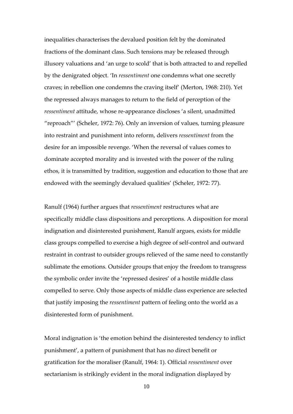inequalities characterises the devalued position felt by the dominated fractions of the dominant class. Such tensions may be released through illusory valuations and 'an urge to scold' that is both attracted to and repelled by the denigrated object. 'In *ressentiment* one condemns what one secretly craves; in rebellion one condemns the craving itself' (Merton, 1968: 210). Yet the repressed always manages to return to the field of perception of the *ressentiment* attitude, whose re-appearance discloses 'a silent, unadmitted "reproach"' (Scheler, 1972: 76). Only an inversion of values, turning pleasure into restraint and punishment into reform, delivers *ressentiment* from the desire for an impossible revenge. 'When the reversal of values comes to dominate accepted morality and is invested with the power of the ruling ethos, it is transmitted by tradition, suggestion and education to those that are endowed with the seemingly devalued qualities' (Scheler, 1972: 77).

Ranulf (1964) further argues that *ressentiment* restructures what are specifically middle class dispositions and perceptions. A disposition for moral indignation and disinterested punishment, Ranulf argues, exists for middle class groups compelled to exercise a high degree of self-control and outward restraint in contrast to outsider groups relieved of the same need to constantly sublimate the emotions. Outsider groups that enjoy the freedom to transgress the symbolic order invite the 'repressed desires' of a hostile middle class compelled to serve. Only those aspects of middle class experience are selected that justify imposing the *ressentiment* pattern of feeling onto the world as a disinterested form of punishment.

Moral indignation is 'the emotion behind the disinterested tendency to inflict punishment', a pattern of punishment that has no direct benefit or gratification for the moraliser (Ranulf, 1964: 1). Official *ressentiment* over sectarianism is strikingly evident in the moral indignation displayed by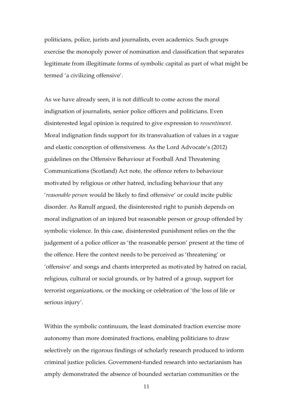politicians, police, jurists and journalists, even academics. Such groups exercise the monopoly power of nomination and classification that separates legitimate from illegitimate forms of symbolic capital as part of what might be termed 'a civilizing offensive'.

As we have already seen, it is not difficult to come across the moral indignation of journalists, senior police officers and politicians. Even disinterested legal opinion is required to give expression to *ressentiment*. Moral indignation finds support for its transvaluation of values in a vague and elastic conception of offensiveness. As the Lord Advocate's (2012) guidelines on the Offensive Behaviour at Football And Threatening Communications (Scotland) Act note, the offence refers to behaviour motivated by religious or other hatred, including behaviour that any '*reasonable person* would be likely to find offensive' or could incite public disorder. As Ranulf argued, the disinterested right to punish depends on moral indignation of an injured but reasonable person or group offended by symbolic violence. In this case, disinterested punishment relies on the the judgement of a police officer as 'the reasonable person' present at the time of the offence. Here the context needs to be perceived as 'threatening' or 'offensive' and songs and chants interpreted as motivated by hatred on racial, religious, cultural or social grounds, or by hatred of a group, support for terrorist organizations, or the mocking or celebration of 'the loss of life or serious injury'.

Within the symbolic continuum, the least dominated fraction exercise more autonomy than more dominated fractions, enabling politicians to draw selectively on the rigorous findings of scholarly research produced to inform criminal justice policies. Government-funded research into sectarianism has amply demonstrated the absence of bounded sectarian communities or the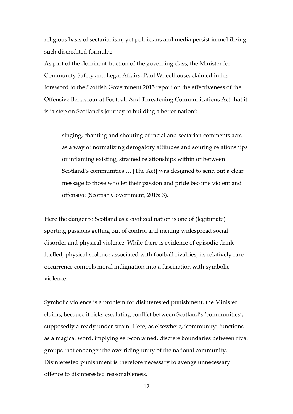religious basis of sectarianism, yet politicians and media persist in mobilizing such discredited formulae.

As part of the dominant fraction of the governing class, the Minister for Community Safety and Legal Affairs, Paul Wheelhouse, claimed in his foreword to the Scottish Government 2015 report on the effectiveness of the Offensive Behaviour at Football And Threatening Communications Act that it is 'a step on Scotland's journey to building a better nation':

singing, chanting and shouting of racial and sectarian comments acts as a way of normalizing derogatory attitudes and souring relationships or inflaming existing, strained relationships within or between Scotland's communities … [The Act] was designed to send out a clear message to those who let their passion and pride become violent and offensive (Scottish Government, 2015: 3).

Here the danger to Scotland as a civilized nation is one of (legitimate) sporting passions getting out of control and inciting widespread social disorder and physical violence. While there is evidence of episodic drinkfuelled, physical violence associated with football rivalries, its relatively rare occurrence compels moral indignation into a fascination with symbolic violence.

Symbolic violence is a problem for disinterested punishment, the Minister claims, because it risks escalating conflict between Scotland's 'communities', supposedly already under strain. Here, as elsewhere, 'community' functions as a magical word, implying self-contained, discrete boundaries between rival groups that endanger the overriding unity of the national community. Disinterested punishment is therefore necessary to avenge unnecessary offence to disinterested reasonableness.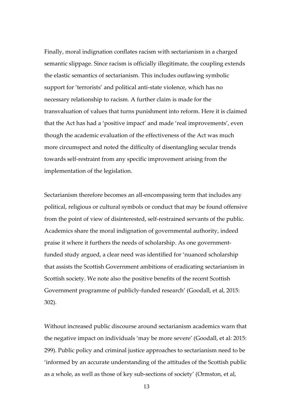Finally, moral indignation conflates racism with sectarianism in a charged semantic slippage. Since racism is officially illegitimate, the coupling extends the elastic semantics of sectarianism. This includes outlawing symbolic support for 'terrorists' and political anti-state violence, which has no necessary relationship to racism. A further claim is made for the transvaluation of values that turns punishment into reform. Here it is claimed that the Act has had a 'positive impact' and made 'real improvements', even though the academic evaluation of the effectiveness of the Act was much more circumspect and noted the difficulty of disentangling secular trends towards self-restraint from any specific improvement arising from the implementation of the legislation.

Sectarianism therefore becomes an all-encompassing term that includes any political, religious or cultural symbols or conduct that may be found offensive from the point of view of disinterested, self-restrained servants of the public. Academics share the moral indignation of governmental authority, indeed praise it where it furthers the needs of scholarship. As one governmentfunded study argued, a clear need was identified for 'nuanced scholarship that assists the Scottish Government ambitions of eradicating sectarianism in Scottish society. We note also the positive benefits of the recent Scottish Government programme of publicly-funded research' (Goodall, et al, 2015: 302).

Without increased public discourse around sectarianism academics warn that the negative impact on individuals 'may be more severe' (Goodall, et al: 2015: 299). Public policy and criminal justice approaches to sectarianism need to be 'informed by an accurate understanding of the attitudes of the Scottish public as a whole, as well as those of key sub-sections of society' (Ormston, et al,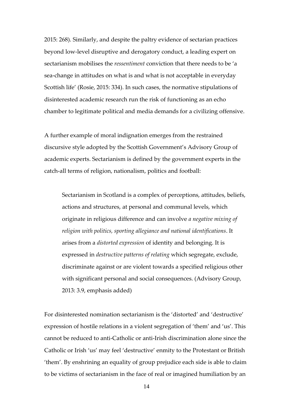2015: 268). Similarly, and despite the paltry evidence of sectarian practices beyond low-level disruptive and derogatory conduct, a leading expert on sectarianism mobilises the *ressentiment* conviction that there needs to be 'a sea-change in attitudes on what is and what is not acceptable in everyday Scottish life' (Rosie, 2015: 334). In such cases, the normative stipulations of disinterested academic research run the risk of functioning as an echo chamber to legitimate political and media demands for a civilizing offensive.

A further example of moral indignation emerges from the restrained discursive style adopted by the Scottish Government's Advisory Group of academic experts. Sectarianism is defined by the government experts in the catch-all terms of religion, nationalism, politics and football:

Sectarianism in Scotland is a complex of perceptions, attitudes, beliefs, actions and structures, at personal and communal levels, which originate in religious difference and can involve *a negative mixing of religion with politics, sporting allegiance and national identifications*. It arises from a *distorted expression* of identity and belonging. It is expressed in *destructive patterns of relating* which segregate, exclude, discriminate against or are violent towards a specified religious other with significant personal and social consequences. (Advisory Group, 2013: 3.9, emphasis added)

For disinterested nomination sectarianism is the 'distorted' and 'destructive' expression of hostile relations in a violent segregation of 'them' and 'us'. This cannot be reduced to anti-Catholic or anti-Irish discrimination alone since the Catholic or Irish 'us' may feel 'destructive' enmity to the Protestant or British 'them'. By enshrining an equality of group prejudice each side is able to claim to be victims of sectarianism in the face of real or imagined humiliation by an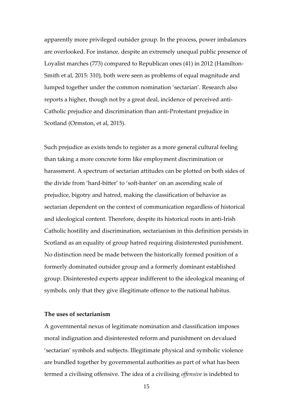apparently more privileged outsider group. In the process, power imbalances are overlooked. For instance, despite an extremely unequal public presence of Loyalist marches (773) compared to Republican ones (41) in 2012 (Hamilton-Smith et al, 2015: 310), both were seen as problems of equal magnitude and lumped together under the common nomination 'sectarian'. Research also reports a higher, though not by a great deal, incidence of perceived anti-Catholic prejudice and discrimination than anti-Protestant prejudice in Scotland (Ormston, et al, 2015).

Such prejudice as exists tends to register as a more general cultural feeling than taking a more concrete form like employment discrimination or harassment. A spectrum of sectarian attitudes can be plotted on both sides of the divide from 'hard-bitter' to 'soft-banter' on an ascending scale of prejudice, bigotry and hatred, making the classification of behavior as sectarian dependent on the context of communication regardless of historical and ideological content. Therefore, despite its historical roots in anti-Irish Catholic hostility and discrimination, sectarianism in this definition persists in Scotland as an equality of group hatred requiring disinterested punishment. No distinction need be made between the historically formed position of a formerly dominated outsider group and a formerly dominant established group. Disinterested experts appear indifferent to the ideological meaning of symbols, only that they give illegitimate offence to the national habitus.

## **The uses of sectarianism**

A governmental nexus of legitimate nomination and classification imposes moral indignation and disinterested reform and punishment on devalued 'sectarian' symbols and subjects. Illegitimate physical and symbolic violence are bundled together by governmental authorities as part of what has been termed a civilising offensive. The idea of a civilising *offensive* is indebted to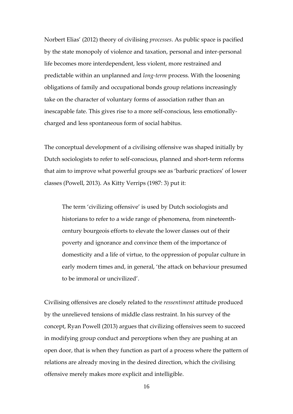Norbert Elias' (2012) theory of civilising *processes*. As public space is pacified by the state monopoly of violence and taxation, personal and inter-personal life becomes more interdependent, less violent, more restrained and predictable within an unplanned and *long-term* process. With the loosening obligations of family and occupational bonds group relations increasingly take on the character of voluntary forms of association rather than an inescapable fate. This gives rise to a more self-conscious, less emotionallycharged and less spontaneous form of social habitus.

The conceptual development of a civilising offensive was shaped initially by Dutch sociologists to refer to self-conscious, planned and short-term reforms that aim to improve what powerful groups see as 'barbaric practices' of lower classes (Powell, 2013). As Kitty Verrips (1987: 3) put it:

The term 'civilizing offensive' is used by Dutch sociologists and historians to refer to a wide range of phenomena, from nineteenthcentury bourgeois efforts to elevate the lower classes out of their poverty and ignorance and convince them of the importance of domesticity and a life of virtue, to the oppression of popular culture in early modern times and, in general, 'the attack on behaviour presumed to be immoral or uncivilized'.

Civilising offensives are closely related to the *ressentiment* attitude produced by the unrelieved tensions of middle class restraint. In his survey of the concept, Ryan Powell (2013) argues that civilizing offensives seem to succeed in modifying group conduct and perceptions when they are pushing at an open door, that is when they function as part of a process where the pattern of relations are already moving in the desired direction, which the civilising offensive merely makes more explicit and intelligible.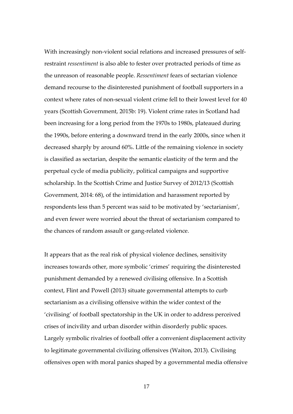With increasingly non-violent social relations and increased pressures of selfrestraint *ressentiment* is also able to fester over protracted periods of time as the unreason of reasonable people. *Ressentiment* fears of sectarian violence demand recourse to the disinterested punishment of football supporters in a context where rates of non-sexual violent crime fell to their lowest level for 40 years (Scottish Government, 2015b: 19). Violent crime rates in Scotland had been increasing for a long period from the 1970s to 1980s, plateaued during the 1990s, before entering a downward trend in the early 2000s, since when it decreased sharply by around 60%. Little of the remaining violence in society is classified as sectarian, despite the semantic elasticity of the term and the perpetual cycle of media publicity, political campaigns and supportive scholarship. In the Scottish Crime and Justice Survey of 2012/13 (Scottish Government, 2014: 68), of the intimidation and harassment reported by respondents less than 5 percent was said to be motivated by 'sectarianism', and even fewer were worried about the threat of sectarianism compared to the chances of random assault or gang-related violence.

It appears that as the real risk of physical violence declines, sensitivity increases towards other, more symbolic 'crimes' requiring the disinterested punishment demanded by a renewed civilising offensive. In a Scottish context, Flint and Powell (2013) situate governmental attempts to curb sectarianism as a civilising offensive within the wider context of the 'civilising' of football spectatorship in the UK in order to address perceived crises of incivility and urban disorder within disorderly public spaces. Largely symbolic rivalries of football offer a convenient displacement activity to legitimate governmental civilizing offensives (Waiton, 2013). Civilising offensives open with moral panics shaped by a governmental media offensive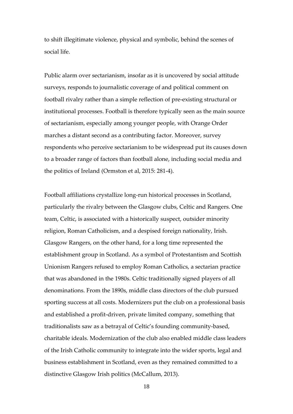to shift illegitimate violence, physical and symbolic, behind the scenes of social life.

Public alarm over sectarianism, insofar as it is uncovered by social attitude surveys, responds to journalistic coverage of and political comment on football rivalry rather than a simple reflection of pre-existing structural or institutional processes. Football is therefore typically seen as the main source of sectarianism, especially among younger people, with Orange Order marches a distant second as a contributing factor. Moreover, survey respondents who perceive sectarianism to be widespread put its causes down to a broader range of factors than football alone, including social media and the politics of Ireland (Ormston et al, 2015: 281-4).

Football affiliations crystallize long-run historical processes in Scotland, particularly the rivalry between the Glasgow clubs, Celtic and Rangers. One team, Celtic, is associated with a historically suspect, outsider minority religion, Roman Catholicism, and a despised foreign nationality, Irish. Glasgow Rangers, on the other hand, for a long time represented the establishment group in Scotland. As a symbol of Protestantism and Scottish Unionism Rangers refused to employ Roman Catholics, a sectarian practice that was abandoned in the 1980s. Celtic traditionally signed players of all denominations. From the 1890s, middle class directors of the club pursued sporting success at all costs. Modernizers put the club on a professional basis and established a profit-driven, private limited company, something that traditionalists saw as a betrayal of Celtic's founding community-based, charitable ideals. Modernization of the club also enabled middle class leaders of the Irish Catholic community to integrate into the wider sports, legal and business establishment in Scotland, even as they remained committed to a distinctive Glasgow Irish politics (McCallum, 2013).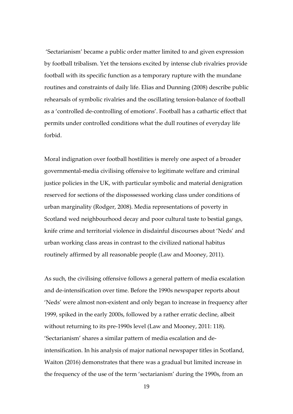'Sectarianism' became a public order matter limited to and given expression by football tribalism. Yet the tensions excited by intense club rivalries provide football with its specific function as a temporary rupture with the mundane routines and constraints of daily life. Elias and Dunning (2008) describe public rehearsals of symbolic rivalries and the oscillating tension-balance of football as a 'controlled de-controlling of emotions'. Football has a cathartic effect that permits under controlled conditions what the dull routines of everyday life forbid.

Moral indignation over football hostilities is merely one aspect of a broader governmental-media civilising offensive to legitimate welfare and criminal justice policies in the UK, with particular symbolic and material denigration reserved for sections of the dispossessed working class under conditions of urban marginality (Rodger, 2008). Media representations of poverty in Scotland wed neighbourhood decay and poor cultural taste to bestial gangs, knife crime and territorial violence in disdainful discourses about 'Neds' and urban working class areas in contrast to the civilized national habitus routinely affirmed by all reasonable people (Law and Mooney, 2011).

As such, the civilising offensive follows a general pattern of media escalation and de-intensification over time. Before the 1990s newspaper reports about 'Neds' were almost non-existent and only began to increase in frequency after 1999, spiked in the early 2000s, followed by a rather erratic decline, albeit without returning to its pre-1990s level (Law and Mooney, 2011: 118). 'Sectarianism' shares a similar pattern of media escalation and deintensification. In his analysis of major national newspaper titles in Scotland, Waiton (2016) demonstrates that there was a gradual but limited increase in the frequency of the use of the term 'sectarianism' during the 1990s, from an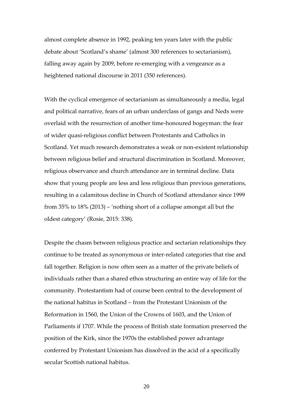almost complete absence in 1992, peaking ten years later with the public debate about 'Scotland's shame' (almost 300 references to sectarianism), falling away again by 2009, before re-emerging with a vengeance as a heightened national discourse in 2011 (350 references).

With the cyclical emergence of sectarianism as simultaneously a media, legal and political narrative, fears of an urban underclass of gangs and Neds were overlaid with the resurrection of another time-honoured bogeyman: the fear of wider quasi-religious conflict between Protestants and Catholics in Scotland. Yet much research demonstrates a weak or non-existent relationship between religious belief and structural discrimination in Scotland. Moreover, religious observance and church attendance are in terminal decline. Data show that young people are less and less religious than previous generations, resulting in a calamitous decline in Church of Scotland attendance since 1999 from 35% to 18% (2013) – 'nothing short of a collapse amongst all but the oldest category' (Rosie, 2015: 338).

Despite the chasm between religious practice and sectarian relationships they continue to be treated as synonymous or inter-related categories that rise and fall together. Religion is now often seen as a matter of the private beliefs of individuals rather than a shared ethos structuring an entire way of life for the community. Protestantism had of course been central to the development of the national habitus in Scotland – from the Protestant Unionism of the Reformation in 1560, the Union of the Crowns of 1603, and the Union of Parliaments if 1707. While the process of British state formation preserved the position of the Kirk, since the 1970s the established power advantage conferred by Protestant Unionism has dissolved in the acid of a specifically secular Scottish national habitus.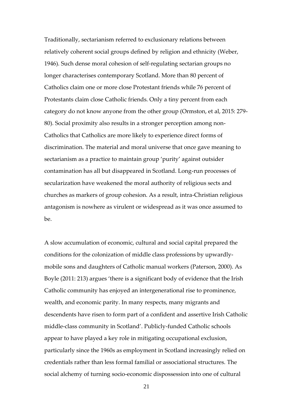Traditionally, sectarianism referred to exclusionary relations between relatively coherent social groups defined by religion and ethnicity (Weber, 1946). Such dense moral cohesion of self-regulating sectarian groups no longer characterises contemporary Scotland. More than 80 percent of Catholics claim one or more close Protestant friends while 76 percent of Protestants claim close Catholic friends. Only a tiny percent from each category do not know anyone from the other group (Ormston, et al, 2015: 279- 80). Social proximity also results in a stronger perception among non-Catholics that Catholics are more likely to experience direct forms of discrimination. The material and moral universe that once gave meaning to sectarianism as a practice to maintain group 'purity' against outsider contamination has all but disappeared in Scotland. Long-run processes of secularization have weakened the moral authority of religious sects and churches as markers of group cohesion. As a result, intra-Christian religious antagonism is nowhere as virulent or widespread as it was once assumed to  $he$ 

A slow accumulation of economic, cultural and social capital prepared the conditions for the colonization of middle class professions by upwardlymobile sons and daughters of Catholic manual workers (Paterson, 2000). As Boyle (2011: 213) argues 'there is a significant body of evidence that the Irish Catholic community has enjoyed an intergenerational rise to prominence, wealth, and economic parity. In many respects, many migrants and descendents have risen to form part of a confident and assertive Irish Catholic middle-class community in Scotland'. Publicly-funded Catholic schools appear to have played a key role in mitigating occupational exclusion, particularly since the 1960s as employment in Scotland increasingly relied on credentials rather than less formal familial or associational structures. The social alchemy of turning socio-economic dispossession into one of cultural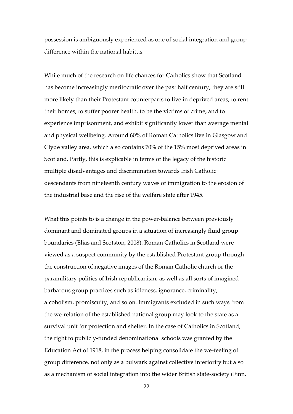possession is ambiguously experienced as one of social integration and group difference within the national habitus.

While much of the research on life chances for Catholics show that Scotland has become increasingly meritocratic over the past half century, they are still more likely than their Protestant counterparts to live in deprived areas, to rent their homes, to suffer poorer health, to be the victims of crime, and to experience imprisonment, and exhibit significantly lower than average mental and physical wellbeing. Around 60% of Roman Catholics live in Glasgow and Clyde valley area, which also contains 70% of the 15% most deprived areas in Scotland. Partly, this is explicable in terms of the legacy of the historic multiple disadvantages and discrimination towards Irish Catholic descendants from nineteenth century waves of immigration to the erosion of the industrial base and the rise of the welfare state after 1945.

What this points to is a change in the power-balance between previously dominant and dominated groups in a situation of increasingly fluid group boundaries (Elias and Scotston, 2008). Roman Catholics in Scotland were viewed as a suspect community by the established Protestant group through the construction of negative images of the Roman Catholic church or the paramilitary politics of Irish republicanism, as well as all sorts of imagined barbarous group practices such as idleness, ignorance, criminality, alcoholism, promiscuity, and so on. Immigrants excluded in such ways from the we-relation of the established national group may look to the state as a survival unit for protection and shelter. In the case of Catholics in Scotland, the right to publicly-funded denominational schools was granted by the Education Act of 1918, in the process helping consolidate the we-feeling of group difference, not only as a bulwark against collective inferiority but also as a mechanism of social integration into the wider British state-society (Finn,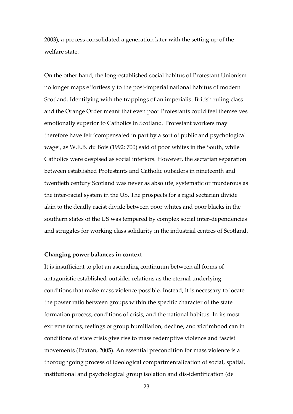2003), a process consolidated a generation later with the setting up of the welfare state.

On the other hand, the long-established social habitus of Protestant Unionism no longer maps effortlessly to the post-imperial national habitus of modern Scotland. Identifying with the trappings of an imperialist British ruling class and the Orange Order meant that even poor Protestants could feel themselves emotionally superior to Catholics in Scotland. Protestant workers may therefore have felt 'compensated in part by a sort of public and psychological wage', as W.E.B. du Bois (1992: 700) said of poor whites in the South, while Catholics were despised as social inferiors. However, the sectarian separation between established Protestants and Catholic outsiders in nineteenth and twentieth century Scotland was never as absolute, systematic or murderous as the inter-racial system in the US. The prospects for a rigid sectarian divide akin to the deadly racist divide between poor whites and poor blacks in the southern states of the US was tempered by complex social inter-dependencies and struggles for working class solidarity in the industrial centres of Scotland.

#### **Changing power balances in context**

It is insufficient to plot an ascending continuum between all forms of antagonistic established-outsider relations as the eternal underlying conditions that make mass violence possible. Instead, it is necessary to locate the power ratio between groups within the specific character of the state formation process, conditions of crisis, and the national habitus. In its most extreme forms, feelings of group humiliation, decline, and victimhood can in conditions of state crisis give rise to mass redemptive violence and fascist movements (Paxton, 2005). An essential precondition for mass violence is a thoroughgoing process of ideological compartmentalization of social, spatial, institutional and psychological group isolation and dis-identification (de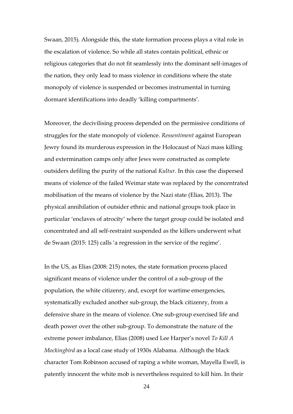Swaan, 2015). Alongside this, the state formation process plays a vital role in the escalation of violence. So while all states contain political, ethnic or religious categories that do not fit seamlessly into the dominant self-images of the nation, they only lead to mass violence in conditions where the state monopoly of violence is suspended or becomes instrumental in turning dormant identifications into deadly 'killing compartments'.

Moreover, the decivilising process depended on the permissive conditions of struggles for the state monopoly of violence. *Ressentiment* against European Jewry found its murderous expression in the Holocaust of Nazi mass killing and extermination camps only after Jews were constructed as complete outsiders defiling the purity of the national *Kultur*. In this case the dispersed means of violence of the failed Weimar state was replaced by the concentrated mobilisation of the means of violence by the Nazi state (Elias, 2013). The physical annihilation of outsider ethnic and national groups took place in particular 'enclaves of atrocity' where the target group could be isolated and concentrated and all self-restraint suspended as the killers underwent what de Swaan (2015: 125) calls 'a regression in the service of the regime'.

In the US, as Elias (2008: 215) notes, the state formation process placed significant means of violence under the control of a sub-group of the population, the white citizenry, and, except for wartime emergencies, systematically excluded another sub-group, the black citizenry, from a defensive share in the means of violence. One sub-group exercised life and death power over the other sub-group. To demonstrate the nature of the extreme power imbalance, Elias (2008) used Lee Harper's novel *To Kill A Mockingbird* as a local case study of 1930s Alabama. Although the black character Tom Robinson accused of raping a white woman, Mayella Ewell, is patently innocent the white mob is nevertheless required to kill him. In their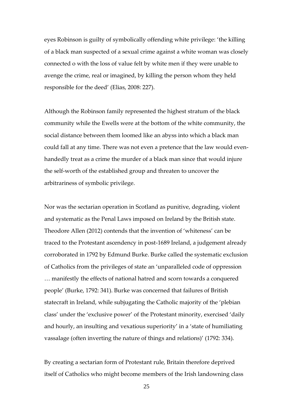eyes Robinson is guilty of symbolically offending white privilege: 'the killing of a black man suspected of a sexual crime against a white woman was closely connected o with the loss of value felt by white men if they were unable to avenge the crime, real or imagined, by killing the person whom they held responsible for the deed' (Elias, 2008: 227).

Although the Robinson family represented the highest stratum of the black community while the Ewells were at the bottom of the white community, the social distance between them loomed like an abyss into which a black man could fall at any time. There was not even a pretence that the law would evenhandedly treat as a crime the murder of a black man since that would injure the self-worth of the established group and threaten to uncover the arbitrariness of symbolic privilege.

Nor was the sectarian operation in Scotland as punitive, degrading, violent and systematic as the Penal Laws imposed on Ireland by the British state. Theodore Allen (2012) contends that the invention of 'whiteness' can be traced to the Protestant ascendency in post-1689 Ireland, a judgement already corroborated in 1792 by Edmund Burke. Burke called the systematic exclusion of Catholics from the privileges of state an 'unparalleled code of oppression … manifestly the effects of national hatred and scorn towards a conquered people' (Burke, 1792: 341). Burke was concerned that failures of British statecraft in Ireland, while subjugating the Catholic majority of the 'plebian class' under the 'exclusive power' of the Protestant minority, exercised 'daily and hourly, an insulting and vexatious superiority' in a 'state of humiliating vassalage (often inverting the nature of things and relations)' (1792: 334).

By creating a sectarian form of Protestant rule, Britain therefore deprived itself of Catholics who might become members of the Irish landowning class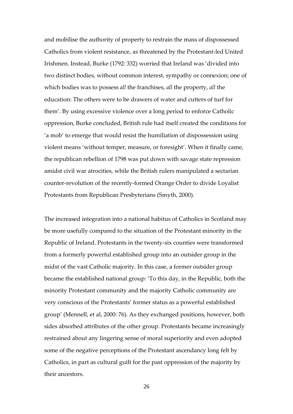and mobilise the authority of property to restrain the mass of dispossessed Catholics from violent resistance, as threatened by the Protestant-led United Irishmen. Instead, Burke (1792: 332) worried that Ireland was 'divided into two distinct bodies, without common interest, sympathy or connexion; one of which bodies was to possess *all* the franchises, *all* the property, *all* the education: The others were to be drawers of water and cutters of turf for them'. By using excessive violence over a long period to enforce Catholic oppression, Burke concluded, British rule had itself created the conditions for 'a mob' to emerge that would resist the humiliation of dispossession using violent means 'without temper, measure, or foresight'. When it finally came, the republican rebellion of 1798 was put down with savage state repression amidst civil war atrocities, while the British rulers manipulated a sectarian counter-revolution of the recently-formed Orange Order to divide Loyalist Protestants from Republican Presbyterians (Smyth, 2000).

The increased integration into a national habitus of Catholics in Scotland may be more usefully compared to the situation of the Protestant minority in the Republic of Ireland. Protestants in the twenty-six counties were transformed from a formerly powerful established group into an outsider group in the midst of the vast Catholic majority. In this case, a former outsider group became the established national group: 'To this day, in the Republic, both the minority Protestant community and the majority Catholic community are very conscious of the Protestants' former status as a powerful established group' (Mennell, et al, 2000: 76). As they exchanged positions, however, both sides absorbed attributes of the other group. Protestants became increasingly restrained about any lingering sense of moral superiority and even adopted some of the negative perceptions of the Protestant ascendancy long felt by Catholics, in part as cultural guilt for the past oppression of the majority by their ancestors.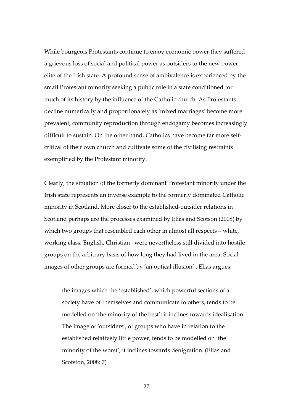While bourgeois Protestants continue to enjoy economic power they suffered a grievous loss of social and political power as outsiders to the new power elite of the Irish state. A profound sense of ambivalence is experienced by the small Protestant minority seeking a public role in a state conditioned for much of its history by the influence of the Catholic church. As Protestants decline numerically and proportionately as 'mixed marriages' become more prevalent, community reproduction through endogamy becomes increasingly difficult to sustain. On the other hand, Catholics have become far more selfcritical of their own church and cultivate some of the civilising restraints exemplified by the Protestant minority.

Clearly, the situation of the formerly dominant Protestant minority under the Irish state represents an inverse example to the formerly dominated Catholic minority in Scotland. More closer to the established-outsider relations in Scotland perhaps are the processes examined by Elias and Scotson (2008) by which two groups that resembled each other in almost all respects – white, working class, English, Christian –were nevertheless still divided into hostile groups on the arbitrary basis of how long they had lived in the area. Social images of other groups are formed by 'an optical illusion' , Elias argues:

the images which the 'established', which powerful sections of a society have of themselves and communicate to others, tends to be modelled on 'the minority of the best'; it inclines towards idealisation. The image of 'outsiders', of groups who have in relation to the established relatively little power, tends to be modelled on 'the minority of the worst', it inclines towards denigration. (Elias and Scotston, 2008: 7)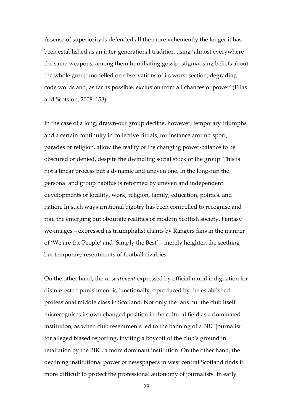A sense of superiority is defended all the more vehemently the longer it has been established as an inter-generational tradition using 'almost everywhere the same weapons, among them humiliating gossip, stigmatising beliefs about the whole group modelled on observations of its worst section, degrading code words and, as far as possible, exclusion from all chances of power' (Elias and Scotston, 2008: 158).

In the case of a long, drawn-out group decline, however, temporary triumphs and a certain continuity in collective rituals, for instance around sport, parades or religion, allow the reality of the changing power-balance to be obscured or denied, despite the dwindling social stock of the group. This is not a linear process but a dynamic and uneven one. In the long-run the personal and group habitus is reformed by uneven and independent developments of locality, work, religion, family, education, politics, and nation. In such ways irrational bigotry has been compelled to recognise and trail the emerging but obdurate realities of modern Scottish society. Fantasy we-images – expressed as triumphalist chants by Rangers fans in the manner of 'We are the People' and 'Simply the Best' – merely heighten the seething but temporary resentments of football rivalries.

On the other hand, the *ressentiment* expressed by official moral indignation for disinterested punishment is functionally reproduced by the established professional middle class in Scotland. Not only the fans but the club itself misrecognises its own changed position in the cultural field as a dominated institution, as when club resentments led to the banning of a BBC journalist for alleged biased reporting, inviting a boycott of the club's ground in retaliation by the BBC, a more dominant institution. On the other hand, the declining institutional power of newspapers in west central Scotland finds it more difficult to protect the professional autonomy of journalists. In early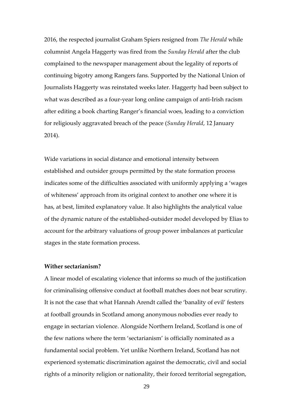2016, the respected journalist Graham Spiers resigned from *The Herald* while columnist Angela Haggerty was fired from the *Sunday Herald* after the club complained to the newspaper management about the legality of reports of continuing bigotry among Rangers fans. Supported by the National Union of Journalists Haggerty was reinstated weeks later. Haggerty had been subject to what was described as a four-year long online campaign of anti-Irish racism after editing a book charting Ranger's financial woes, leading to a conviction for religiously aggravated breach of the peace (*Sunday Herald*, 12 January 2014).

Wide variations in social distance and emotional intensity between established and outsider groups permitted by the state formation process indicates some of the difficulties associated with uniformly applying a 'wages of whiteness' approach from its original context to another one where it is has, at best, limited explanatory value. It also highlights the analytical value of the dynamic nature of the established-outsider model developed by Elias to account for the arbitrary valuations of group power imbalances at particular stages in the state formation process.

#### **Wither sectarianism?**

A linear model of escalating violence that informs so much of the justification for criminalising offensive conduct at football matches does not bear scrutiny. It is not the case that what Hannah Arendt called the 'banality of evil' festers at football grounds in Scotland among anonymous nobodies ever ready to engage in sectarian violence. Alongside Northern Ireland, Scotland is one of the few nations where the term 'sectarianism' is officially nominated as a fundamental social problem. Yet unlike Northern Ireland, Scotland has not experienced systematic discrimination against the democratic, civil and social rights of a minority religion or nationality, their forced territorial segregation,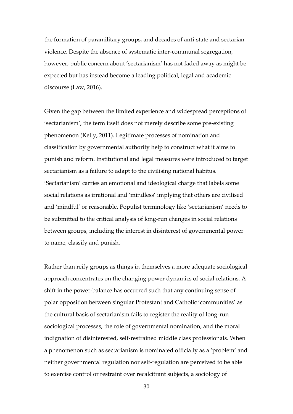the formation of paramilitary groups, and decades of anti-state and sectarian violence. Despite the absence of systematic inter-communal segregation, however, public concern about 'sectarianism' has not faded away as might be expected but has instead become a leading political, legal and academic discourse (Law, 2016).

Given the gap between the limited experience and widespread perceptions of 'sectarianism', the term itself does not merely describe some pre-existing phenomenon (Kelly, 2011). Legitimate processes of nomination and classification by governmental authority help to construct what it aims to punish and reform. Institutional and legal measures were introduced to target sectarianism as a failure to adapt to the civilising national habitus. 'Sectarianism' carries an emotional and ideological charge that labels some social relations as irrational and 'mindless' implying that others are civilised and 'mindful' or reasonable. Populist terminology like 'sectarianism' needs to be submitted to the critical analysis of long-run changes in social relations between groups, including the interest in disinterest of governmental power to name, classify and punish.

Rather than reify groups as things in themselves a more adequate sociological approach concentrates on the changing power dynamics of social relations. A shift in the power-balance has occurred such that any continuing sense of polar opposition between singular Protestant and Catholic 'communities' as the cultural basis of sectarianism fails to register the reality of long-run sociological processes, the role of governmental nomination, and the moral indignation of disinterested, self-restrained middle class professionals. When a phenomenon such as sectarianism is nominated officially as a 'problem' and neither governmental regulation nor self-regulation are perceived to be able to exercise control or restraint over recalcitrant subjects, a sociology of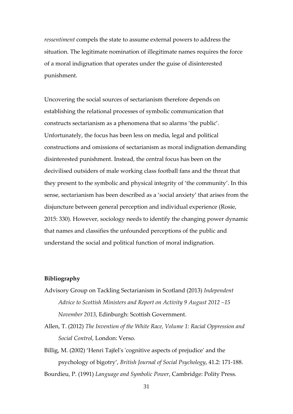*ressentiment* compels the state to assume external powers to address the situation. The legitimate nomination of illegitimate names requires the force of a moral indignation that operates under the guise of disinterested punishment.

Uncovering the social sources of sectarianism therefore depends on establishing the relational processes of symbolic communication that constructs sectarianism as a phenomena that so alarms 'the public'. Unfortunately, the focus has been less on media, legal and political constructions and omissions of sectarianism as moral indignation demanding disinterested punishment. Instead, the central focus has been on the decivilised outsiders of male working class football fans and the threat that they present to the symbolic and physical integrity of 'the community'. In this sense, sectarianism has been described as a 'social anxiety' that arises from the disjuncture between general perception and individual experience (Rosie, 2015: 330). However, sociology needs to identify the changing power dynamic that names and classifies the unfounded perceptions of the public and understand the social and political function of moral indignation.

### **Bibliography**

- Advisory Group on Tackling Sectarianism in Scotland (2013) *Independent Advice to Scottish Ministers and Report on Activity 9 August 2012 –15 November 2013*, Edinburgh: Scottish Government.
- Allen, T. (2012) *The Invention of the White Race, Volume 1: Racial Oppression and Social Control*, London: Verso.
- Billig, M. (2002) 'Henri Tajfel's 'cognitive aspects of prejudice' and the psychology of bigotry', *British Journal of Social Psychology*, 41.2: 171-188. Bourdieu, P. (1991) *Language and Symbolic Power*, Cambridge: Polity Press.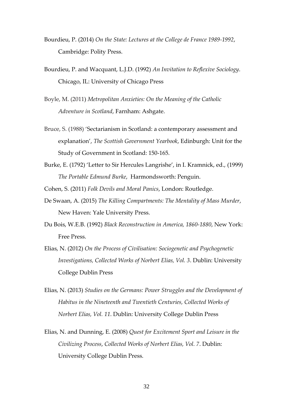- Bourdieu, P. (2014) *On the State: Lectures at the College de France 1989-1992*, Cambridge: Polity Press.
- Bourdieu, P. and Wacquant, L.J.D. (1992) *An Invitation to Reflexive Sociology*. Chicago, IL: University of Chicago Press
- Boyle, M. (2011) *Metropolitan Anxieties: On the Meaning of the Catholic Adventure in Scotland*, Farnham: Ashgate.
- Bruce, S. (1988) 'Sectarianism in Scotland: a contemporary assessment and explanation', *The Scottish Government Yearbook*, Edinburgh: Unit for the Study of Government in Scotland: 150-165.
- Burke, E. (1792) 'Letter to Sir Hercules Langrishe', in I. Kramnick, ed., (1999) *The Portable Edmund Burke*, Harmondsworth: Penguin.
- Cohen, S. (2011) *Folk Devils and Moral Panics*, London: Routledge.
- De Swaan, A. (2015) *The Killing Compartments: The Mentality of Mass Murder*, New Haven: Yale University Press.
- Du Bois, W.E.B. (1992) *Black Reconstruction in America, 1860-1880*, New York: Free Press.
- Elias, N. (2012) *On the Process of Civilisation: Sociogenetic and Psychogenetic Investigations, Collected Works of Norbert Elias, Vol. 3*. Dublin: University College Dublin Press
- Elias, N. (2013) *Studies on the Germans: Power Struggles and the Development of Habitus in the Nineteenth and Twentieth Centuries, Collected Works of Norbert Elias, Vol. 11*. Dublin: University College Dublin Press
- Elias, N. and Dunning, E. (2008) *Quest for Excitement Sport and Leisure in the Civilizing Process*, *Collected Works of Norbert Elias, Vol. 7*. Dublin: University College Dublin Press.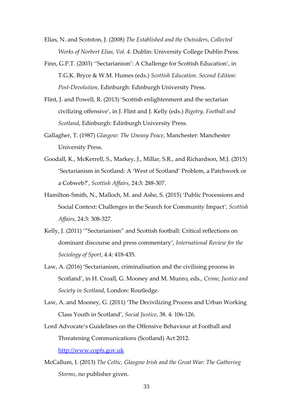- Elias, N. and Scotston, J. (2008) *The Established and the Outsiders*, *Collected Works of Norbert Elias, Vol. 4*. Dublin: University College Dublin Press.
- Finn, G.P.T. (2003) ''Sectarianism': A Challenge for Scottish Education', in T.G.K. Bryce & W.M. Humes (eds.) *Scottish Education. Second Edition: Post-Devolution,* Edinburgh: Edinburgh University Press.
- Flint, J. and Powell, R. (2013) 'Scottish enlightenment and the sectarian civilizing offensive', in J. Flint and J. Kelly (eds.) *Bigotry, Football and Scotland*, Edinburgh: Edinburgh University Press.
- Gallagher, T. (1987) *Glasgow: The Uneasy Peace*, Manchester: Manchester University Press.
- Goodall, K., McKerrell, S., Markey, J., Millar, S.R., and Richardson, M.J. (2015) ['Sectarianism in Scotland: A 'West of Scotland' Problem, a Patchwork or](http://www.euppublishing.com/doi/abs/10.3366/scot.2015.0079)  [a Cobweb?](http://www.euppublishing.com/doi/abs/10.3366/scot.2015.0079)', *Scottish Affairs*, 24:3: 288-307.
- Hamilton-Smith, N., Malloch, M. and Ashe, S. (2015) '[Public Processions and](http://www.euppublishing.com/doi/abs/10.3366/scot.2015.0080)  [Social Context: Challenges in the Search for Community Impact](http://www.euppublishing.com/doi/abs/10.3366/scot.2015.0080)', *Scottish Affairs*, 24:3: 308-327.
- Kelly, J. (2011) '"Sectarianism" and Scottish football: Critical reflections on dominant discourse and press commentary', *International Review for the Sociology of Sport*, 4.4: 418-435.
- Law, A. (2016) 'Sectarianism, criminalisation and the civilising process in Scotland', in H. Croall, G. Mooney and M. Munro, eds., *Crime, Justice and Society in Scotland*, London: Routledge.
- Law, A. and Mooney, G. (2011) 'The Decivilizing Process and Urban Working Class Youth in Scotland', *Social Justice*, 38. 4: 106-126.
- Lord Advocate's Guidelines on the Offensive Behaviour at Football and Threatening Communications (Scotland) Act 2012.

[http://www.copfs.gov.uk](http://www.copfs.gov.uk/)

McCallum, I. (2013) *The Celtic, Glasgow Irish and the Great War: The Gathering Storms*, no publisher given.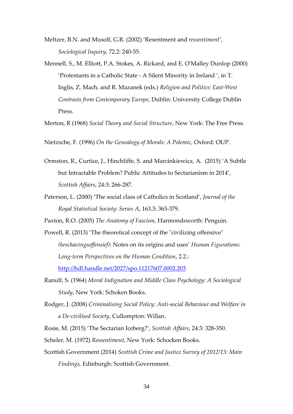- Meltzer, B.N. and Musolf, G.R. (2002) 'Resentment and *ressentiment*', *Sociological Inquiry*, 72.2: 240-55.
- Mennell, S., M. Elliott, P.A. Stokes, A. Rickard, and E. O'Malley Dunlop (2000) 'Protestants in a Catholic State - A Silent Minority in Ireland ', in T. Inglis, Z. Mach, and R. Mazanek (eds.) *Religion and Politics: East-West Contrasts from Contemporary Europe,* Dublin: University College Dublin Press.

Merton, R (1968) *Social Theory and Social Structure*, New York: The Free Press.

Nietzsche, F. (1996) *On the Genealogy of Morals: A Polemic*, Oxford: OUP.

- Ormston, R., Curtice, J., Hinchliffe, S. and Marcinkiewicz, A. (2015) '[A Subtle](http://www.euppublishing.com/doi/abs/10.3366/scot.2015.0078)  [but Intractable Problem? Public Attitudes to Sectarianism in 2014](http://www.euppublishing.com/doi/abs/10.3366/scot.2015.0078)', *Scottish Affairs*, 24:3: 266-287.
- Paterson, L. (2000) 'The social class of Catholics in Scotland', *Journal of the Royal Statistical Society: Series A*, 163.3: 363-379.

Paxton, R.O. (2005) *The Anatomy of Fascism*, Harmondsworth: Penguin.

Powell, R. (2013) 'The theoretical concept of the "civilizing offensive" *(beschavingsoffensief)*: Notes on its origins and uses' *Human Figurations:* 

*Long-term Perspectives on the Human Condition*, 2.2.:

<http://hdl.handle.net/2027/spo.11217607.0002.203>

- Ranulf, S. (1964) *Moral Indignation and Middle Class Psychology: A Sociological Study*, New York: Schoken Books.
- Rodger, J. (2008) *Criminalising Social Policy: Anti-social Behaviour and Welfare in a De-civilised Society*, Cullompton: Willan.
- Rosie, M. (2015) '[The Sectarian Iceberg?](http://www.euppublishing.com/doi/abs/10.3366/scot.2015.0081)', *Scottish Affairs*, 24:3: 328-350.

Scheler, M. (1972) *Ressentiment*, New York: Schocken Books.

Scottish Government (2014) *Scottish Crime and Justice Survey of 2012/13: Main Findings,* Edinburgh: Scottish Government.